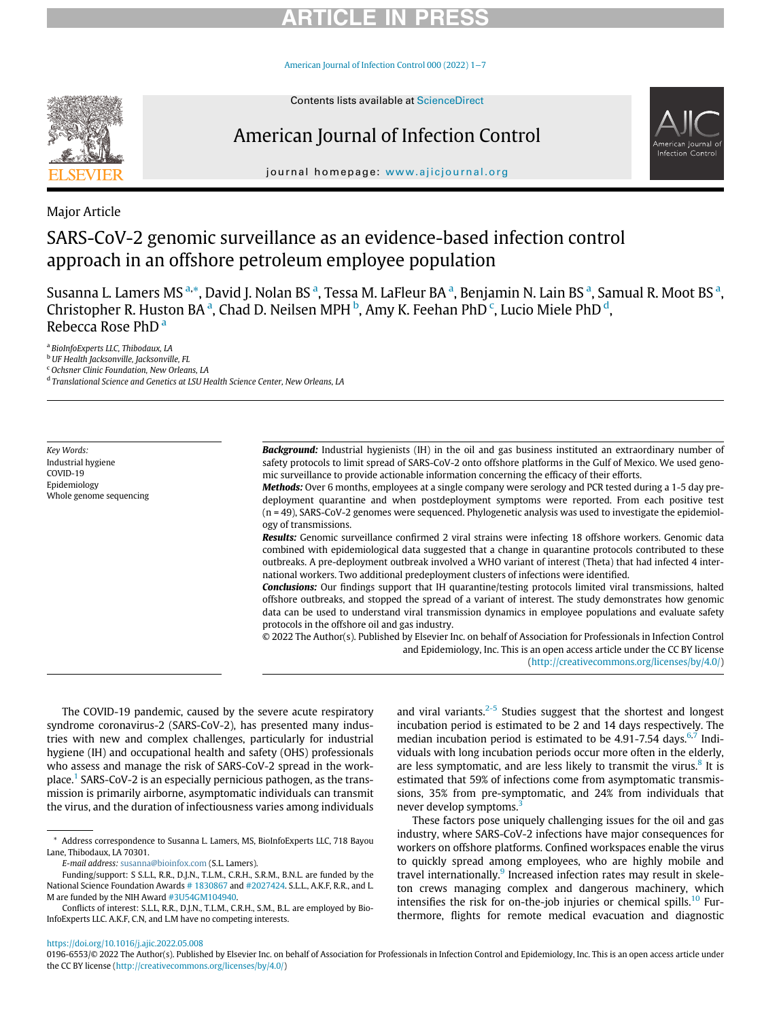# **RTICLE IN**

[American Journal of Infection Control 000 \(2022\) 1](https://doi.org/10.1016/j.ajic.2022.05.008)−7



# American Journal of Infection Control



journal homepage: [www.ajicjournal.org](http://www.ajicjournal.org)

Major Article

# SARS-CoV-2 genomic surveillance as an evidence-based infection control approach in an offshore petroleum employee population

Sus[a](#page-0-0)nna L. Lamers MS a,[\\*,](#page-0-1) David J. Nolan BS <sup>a</sup>, Tessa M. LaFleur BA <sup>a</sup>, Benjamin N. Lain BS <sup>a</sup>, Samual R. Moot BS <sup>a</sup>, Christopher R. Huston BA<sup>[a](#page-0-0)</sup>, Chad D. Neilsen MPH<sup>[b](#page-0-2)</sup>, Amy K. Feehan PhD<sup>[c](#page-0-3)</sup>, Lucio Miele PhD<sup>[d](#page-0-4)</sup>, Rebecc[a](#page-0-0) Rose PhD<sup>a</sup>

<span id="page-0-0"></span><sup>a</sup> BioInfoExperts LLC, Thibodaux, LA

<span id="page-0-2"></span><sup>b</sup> UF Health Jacksonville, Jacksonville, FL

<span id="page-0-3"></span><sup>c</sup> Ochsner Clinic Foundation, New Orleans, LA

<span id="page-0-4"></span><sup>d</sup> Translational Science and Genetics at LSU Health Science Center, New Orleans, LA

Key Words: Industrial hygiene COVID-19 Epidemiology Whole genome sequencing **Background:** Industrial hygienists (IH) in the oil and gas business instituted an extraordinary number of safety protocols to limit spread of SARS-CoV-2 onto offshore platforms in the Gulf of Mexico. We used genomic surveillance to provide actionable information concerning the efficacy of their efforts.

Methods: Over 6 months, employees at a single company were serology and PCR tested during a 1-5 day predeployment quarantine and when postdeployment symptoms were reported. From each positive test (n = 49), SARS-CoV-2 genomes were sequenced. Phylogenetic analysis was used to investigate the epidemiology of transmissions.

Results: Genomic surveillance confirmed 2 viral strains were infecting 18 offshore workers. Genomic data combined with epidemiological data suggested that a change in quarantine protocols contributed to these outbreaks. A pre-deployment outbreak involved a WHO variant of interest (Theta) that had infected 4 international workers. Two additional predeployment clusters of infections were identified.

Conclusions: Our findings support that IH quarantine/testing protocols limited viral transmissions, halted offshore outbreaks, and stopped the spread of a variant of interest. The study demonstrates how genomic data can be used to understand viral transmission dynamics in employee populations and evaluate safety protocols in the offshore oil and gas industry.

© 2022 The Author(s). Published by Elsevier Inc. on behalf of Association for Professionals in Infection Control and Epidemiology, Inc. This is an open access article under the CC BY license [\(http://creativecommons.org/licenses/by/4.0/](http://creativecommons.org/licenses/by/4.0/))

The COVID-19 pandemic, caused by the severe acute respiratory syndrome coronavirus-2 (SARS-CoV-2), has presented many industries with new and complex challenges, particularly for industrial hygiene (IH) and occupational health and safety (OHS) professionals who assess and manage the risk of SARS-CoV-2 spread in the workplace.[1](#page-5-0) SARS-CoV-2 is an especially pernicious pathogen, as the transmission is primarily airborne, asymptomatic individuals can transmit the virus, and the duration of infectiousness varies among individuals and viral variants. $2-5$  Studies suggest that the shortest and longest incubation period is estimated to be 2 and 14 days respectively. The median incubation period is estimated to be  $4.91-7.54$  days.<sup>[6](#page-5-2)[,7](#page-5-3)</sup> Individuals with long incubation periods occur more often in the elderly, are less symptomatic, and are less likely to transmit the virus. $8$  It is estimated that 59% of infections come from asymptomatic transmissions, 35% from pre-symptomatic, and 24% from individuals that never develop symptoms.<sup>[3](#page-5-5)</sup>

These factors pose uniquely challenging issues for the oil and gas industry, where SARS-CoV-2 infections have major consequences for workers on offshore platforms. Confined workspaces enable the virus to quickly spread among employees, who are highly mobile and travel internationally.<sup>[9](#page-5-6)</sup> Increased infection rates may result in skeleton crews managing complex and dangerous machinery, which intensifies the risk for on-the-job injuries or chemical spills.<sup>[10](#page-5-7)</sup> Furthermore, flights for remote medical evacuation and diagnostic

<https://doi.org/10.1016/j.ajic.2022.05.008>

<span id="page-0-1"></span><sup>\*</sup> Address correspondence to Susanna L. Lamers, MS, BioInfoExperts LLC, 718 Bayou Lane, Thibodaux, LA 70301.

E-mail address: [susanna@bioinfox.com](mailto:susanna@bioinfox.com) (S.L. Lamers).

<span id="page-0-5"></span>Funding/support: S S.L.L, R.R., D.J.N., T.L.M., C.R.H., S.R.M., B.N.L. are funded by the National Science Foundation Awards [# 1830867](#page-0-5) and [#2027424.](#page-0-5) S.L.L., A.K.F, R.R., and L. M are funded by the NIH Award [#3U54GM104940](#page-0-6).

<span id="page-0-6"></span>Conflicts of interest: S.L.L, R.R., D.J.N., T.L.M., C.R.H., S.M., B.L. are employed by Bio-InfoExperts LLC. A.K.F, C.N, and L.M have no competing interests.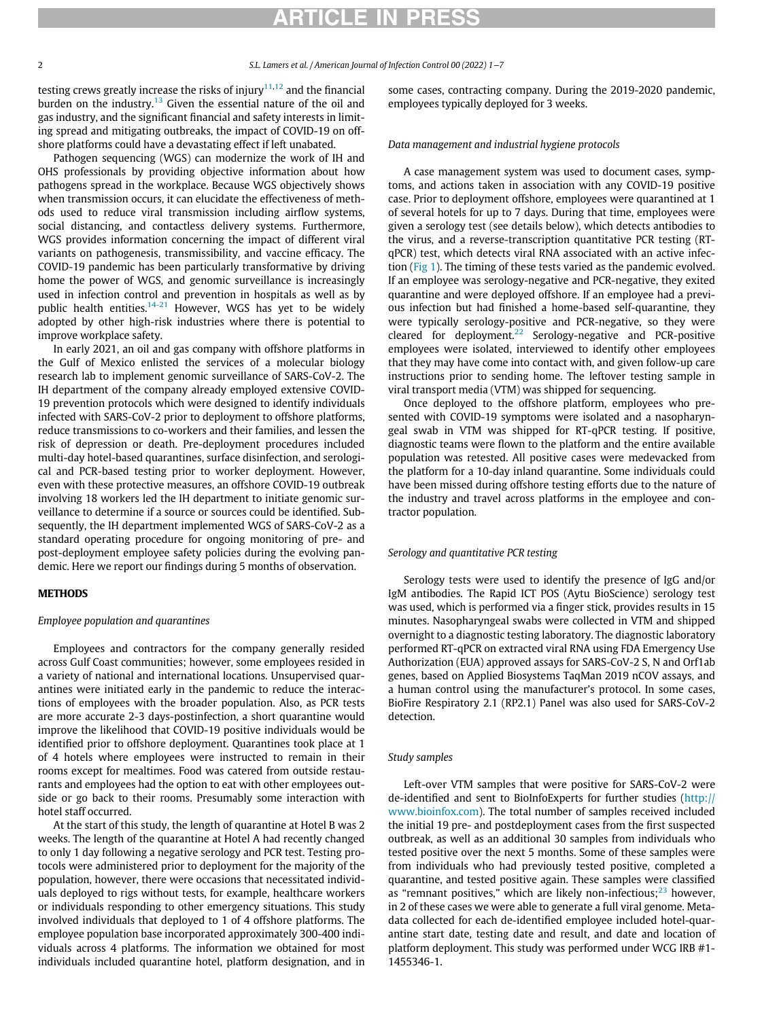# ARTICLE IN PRES

testing crews greatly increase the risks of injury $11,12$  $11,12$  $11,12$  and the financial burden on the industry.<sup>[13](#page-5-10)</sup> Given the essential nature of the oil and gas industry, and the significant financial and safety interests in limiting spread and mitigating outbreaks, the impact of COVID-19 on offshore platforms could have a devastating effect if left unabated.

Pathogen sequencing (WGS) can modernize the work of IH and OHS professionals by providing objective information about how pathogens spread in the workplace. Because WGS objectively shows when transmission occurs, it can elucidate the effectiveness of methods used to reduce viral transmission including airflow systems, social distancing, and contactless delivery systems. Furthermore, WGS provides information concerning the impact of different viral variants on pathogenesis, transmissibility, and vaccine efficacy. The COVID-19 pandemic has been particularly transformative by driving home the power of WGS, and genomic surveillance is increasingly used in infection control and prevention in hospitals as well as by public health entities.<sup>[14-21](#page-5-11)</sup> However, WGS has yet to be widely adopted by other high-risk industries where there is potential to improve workplace safety.

In early 2021, an oil and gas company with offshore platforms in the Gulf of Mexico enlisted the services of a molecular biology research lab to implement genomic surveillance of SARS-CoV-2. The IH department of the company already employed extensive COVID-19 prevention protocols which were designed to identify individuals infected with SARS-CoV-2 prior to deployment to offshore platforms, reduce transmissions to co-workers and their families, and lessen the risk of depression or death. Pre-deployment procedures included multi-day hotel-based quarantines, surface disinfection, and serological and PCR-based testing prior to worker deployment. However, even with these protective measures, an offshore COVID-19 outbreak involving 18 workers led the IH department to initiate genomic surveillance to determine if a source or sources could be identified. Subsequently, the IH department implemented WGS of SARS-CoV-2 as a standard operating procedure for ongoing monitoring of pre- and post-deployment employee safety policies during the evolving pandemic. Here we report our findings during 5 months of observation.

## **METHODS**

#### Employee population and quarantines

Employees and contractors for the company generally resided across Gulf Coast communities; however, some employees resided in a variety of national and international locations. Unsupervised quarantines were initiated early in the pandemic to reduce the interactions of employees with the broader population. Also, as PCR tests are more accurate 2-3 days-postinfection, a short quarantine would improve the likelihood that COVID-19 positive individuals would be identified prior to offshore deployment. Quarantines took place at 1 of 4 hotels where employees were instructed to remain in their rooms except for mealtimes. Food was catered from outside restaurants and employees had the option to eat with other employees outside or go back to their rooms. Presumably some interaction with hotel staff occurred.

At the start of this study, the length of quarantine at Hotel B was 2 weeks. The length of the quarantine at Hotel A had recently changed to only 1 day following a negative serology and PCR test. Testing protocols were administered prior to deployment for the majority of the population, however, there were occasions that necessitated individuals deployed to rigs without tests, for example, healthcare workers or individuals responding to other emergency situations. This study involved individuals that deployed to 1 of 4 offshore platforms. The employee population base incorporated approximately 300-400 individuals across 4 platforms. The information we obtained for most individuals included quarantine hotel, platform designation, and in

some cases, contracting company. During the 2019-2020 pandemic, employees typically deployed for 3 weeks.

#### Data management and industrial hygiene protocols

A case management system was used to document cases, symptoms, and actions taken in association with any COVID-19 positive case. Prior to deployment offshore, employees were quarantined at 1 of several hotels for up to 7 days. During that time, employees were given a serology test (see details below), which detects antibodies to the virus, and a reverse-transcription quantitative PCR testing (RTqPCR) test, which detects viral RNA associated with an active infection ([Fig 1\)](#page-2-0). The timing of these tests varied as the pandemic evolved. If an employee was serology-negative and PCR-negative, they exited quarantine and were deployed offshore. If an employee had a previous infection but had finished a home-based self-quarantine, they were typically serology-positive and PCR-negative, so they were cleared for deployment.<sup>[22](#page-6-0)</sup> Serology-negative and PCR-positive employees were isolated, interviewed to identify other employees that they may have come into contact with, and given follow-up care instructions prior to sending home. The leftover testing sample in viral transport media (VTM) was shipped for sequencing.

Once deployed to the offshore platform, employees who presented with COVID-19 symptoms were isolated and a nasopharyngeal swab in VTM was shipped for RT-qPCR testing. If positive, diagnostic teams were flown to the platform and the entire available population was retested. All positive cases were medevacked from the platform for a 10-day inland quarantine. Some individuals could have been missed during offshore testing efforts due to the nature of the industry and travel across platforms in the employee and contractor population.

#### Serology and quantitative PCR testing

Serology tests were used to identify the presence of IgG and/or IgM antibodies. The Rapid ICT POS (Aytu BioScience) serology test was used, which is performed via a finger stick, provides results in 15 minutes. Nasopharyngeal swabs were collected in VTM and shipped overnight to a diagnostic testing laboratory. The diagnostic laboratory performed RT-qPCR on extracted viral RNA using FDA Emergency Use Authorization (EUA) approved assays for SARS-CoV-2 S, N and Orf1ab genes, based on Applied Biosystems TaqMan 2019 nCOV assays, and a human control using the manufacturer's protocol. In some cases, BioFire Respiratory 2.1 (RP2.1) Panel was also used for SARS-CoV-2 detection.

#### Study samples

Left-over VTM samples that were positive for SARS-CoV-2 were de-identified and sent to BioInfoExperts for further studies ([http://](http://www.bioinfox.com) [www.bioinfox.com\)](http://www.bioinfox.com). The total number of samples received included the initial 19 pre- and postdeployment cases from the first suspected outbreak, as well as an additional 30 samples from individuals who tested positive over the next 5 months. Some of these samples were from individuals who had previously tested positive, completed a quarantine, and tested positive again. These samples were classified as "remnant positives," which are likely non-infectious; $^{23}$  $^{23}$  $^{23}$  however, in 2 of these cases we were able to generate a full viral genome. Metadata collected for each de-identified employee included hotel-quarantine start date, testing date and result, and date and location of platform deployment. This study was performed under WCG IRB #1- 1455346-1.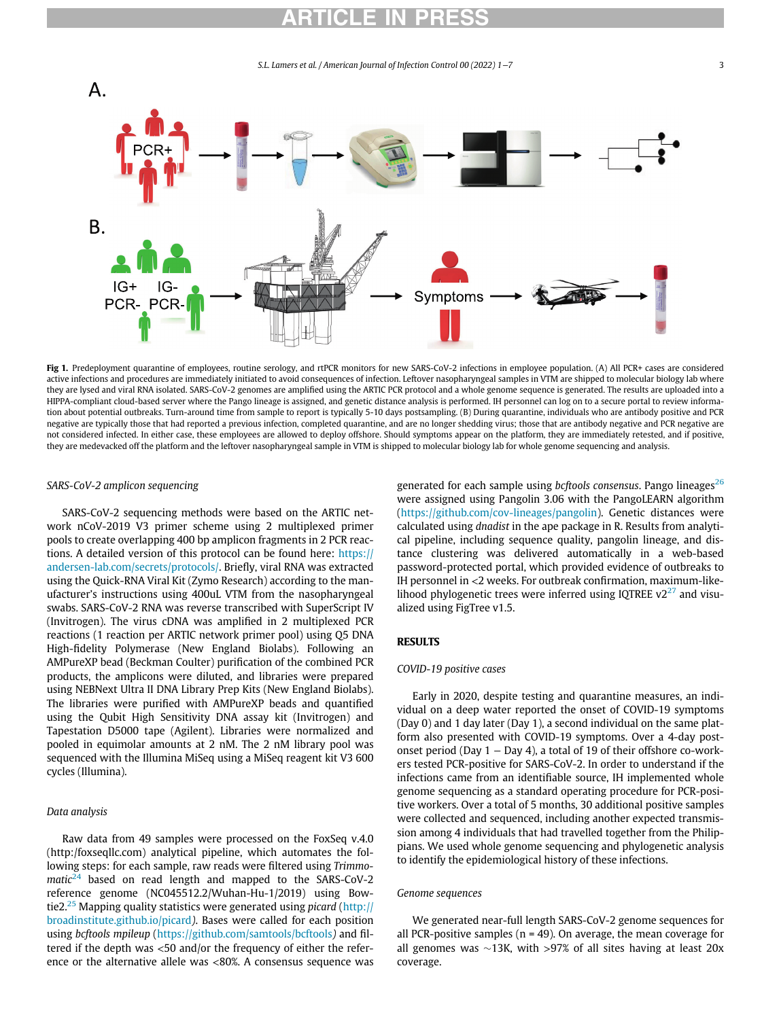# ARTICLE IN PRESS

S.L. Lamers et al. / American Journal of Infection Control 00 (2022) 1−7 3

<span id="page-2-0"></span>

Fig 1. Predeployment quarantine of employees, routine serology, and rtPCR monitors for new SARS-CoV-2 infections in employee population. (A) All PCR+ cases are considered active infections and procedures are immediately initiated to avoid consequences of infection. Leftover nasopharyngeal samples in VTM are shipped to molecular biology lab where they are lysed and viral RNA isolated. SARS-CoV-2 genomes are amplified using the ARTIC PCR protocol and a whole genome sequence is generated. The results are uploaded into a HIPPA-compliant cloud-based server where the Pango lineage is assigned, and genetic distance analysis is performed. IH personnel can log on to a secure portal to review information about potential outbreaks. Turn-around time from sample to report is typically 5-10 days postsampling. (B) During quarantine, individuals who are antibody positive and PCR negative are typically those that had reported a previous infection, completed quarantine, and are no longer shedding virus; those that are antibody negative and PCR negative are not considered infected. In either case, these employees are allowed to deploy offshore. Should symptoms appear on the platform, they are immediately retested, and if positive, they are medevacked off the platform and the leftover nasopharyngeal sample in VTM is shipped to molecular biology lab for whole genome sequencing and analysis.

### SARS-CoV-2 amplicon sequencing

SARS-CoV-2 sequencing methods were based on the ARTIC network nCoV-2019 V3 primer scheme using 2 multiplexed primer pools to create overlapping 400 bp amplicon fragments in 2 PCR reactions. A detailed version of this protocol can be found here: [https://](https://andersen-lab.com/secrets/protocols/) [andersen-lab.com/secrets/protocols/](https://andersen-lab.com/secrets/protocols/). Briefly, viral RNA was extracted using the Quick-RNA Viral Kit (Zymo Research) according to the manufacturer's instructions using 400uL VTM from the nasopharyngeal swabs. SARS-CoV-2 RNA was reverse transcribed with SuperScript IV (Invitrogen). The virus cDNA was amplified in 2 multiplexed PCR reactions (1 reaction per ARTIC network primer pool) using Q5 DNA High-fidelity Polymerase (New England Biolabs). Following an AMPureXP bead (Beckman Coulter) purification of the combined PCR products, the amplicons were diluted, and libraries were prepared using NEBNext Ultra II DNA Library Prep Kits (New England Biolabs). The libraries were purified with AMPureXP beads and quantified using the Qubit High Sensitivity DNA assay kit (Invitrogen) and Tapestation D5000 tape (Agilent). Libraries were normalized and pooled in equimolar amounts at 2 nM. The 2 nM library pool was sequenced with the Illumina MiSeq using a MiSeq reagent kit V3 600 cycles (Illumina).

## Data analysis

Raw data from 49 samples were processed on the FoxSeq v.4.0 (http:/foxseqllc.com) analytical pipeline, which automates the following steps: for each sample, raw reads were filtered using Trimmo- $matic<sup>24</sup>$  $matic<sup>24</sup>$  $matic<sup>24</sup>$  based on read length and mapped to the SARS-CoV-2 reference genome (NC045512.2/Wuhan-Hu-1/2019) using Bow-tie2.<sup>[25](#page-6-3)</sup> Mapping quality statistics were generated using *picard* [\(http://](http://broadinstitute.github.io/picard) [broadinstitute.github.io/picard](http://broadinstitute.github.io/picard)). Bases were called for each position using bcftools mpileup (<https://github.com/samtools/bcftools>) and filtered if the depth was <50 and/or the frequency of either the reference or the alternative allele was <80%. A consensus sequence was generated for each sample using bcftools consensus. Pango lineages $^{26}$  $^{26}$  $^{26}$ were assigned using Pangolin 3.06 with the PangoLEARN algorithm ([https://github.com/cov-lineages/pangolin\)](https://github.com/cov-lineages/pangolin). Genetic distances were calculated using dnadist in the ape package in R. Results from analytical pipeline, including sequence quality, pangolin lineage, and distance clustering was delivered automatically in a web-based password-protected portal, which provided evidence of outbreaks to IH personnel in <2 weeks. For outbreak confirmation, maximum-likelihood phylogenetic trees were inferred using IQTREE  $v2^{27}$  $v2^{27}$  $v2^{27}$  and visualized using FigTree v1.5.

## RESULTS

### COVID-19 positive cases

Early in 2020, despite testing and quarantine measures, an individual on a deep water reported the onset of COVID-19 symptoms (Day 0) and 1 day later (Day 1), a second individual on the same platform also presented with COVID-19 symptoms. Over a 4-day postonset period (Day 1 − Day 4), a total of 19 of their offshore co-workers tested PCR-positive for SARS-CoV-2. In order to understand if the infections came from an identifiable source, IH implemented whole genome sequencing as a standard operating procedure for PCR-positive workers. Over a total of 5 months, 30 additional positive samples were collected and sequenced, including another expected transmission among 4 individuals that had travelled together from the Philippians. We used whole genome sequencing and phylogenetic analysis to identify the epidemiological history of these infections.

### Genome sequences

We generated near-full length SARS-CoV-2 genome sequences for all PCR-positive samples ( $n = 49$ ). On average, the mean coverage for all genomes was  $\sim$ 13K, with >97% of all sites having at least 20x coverage.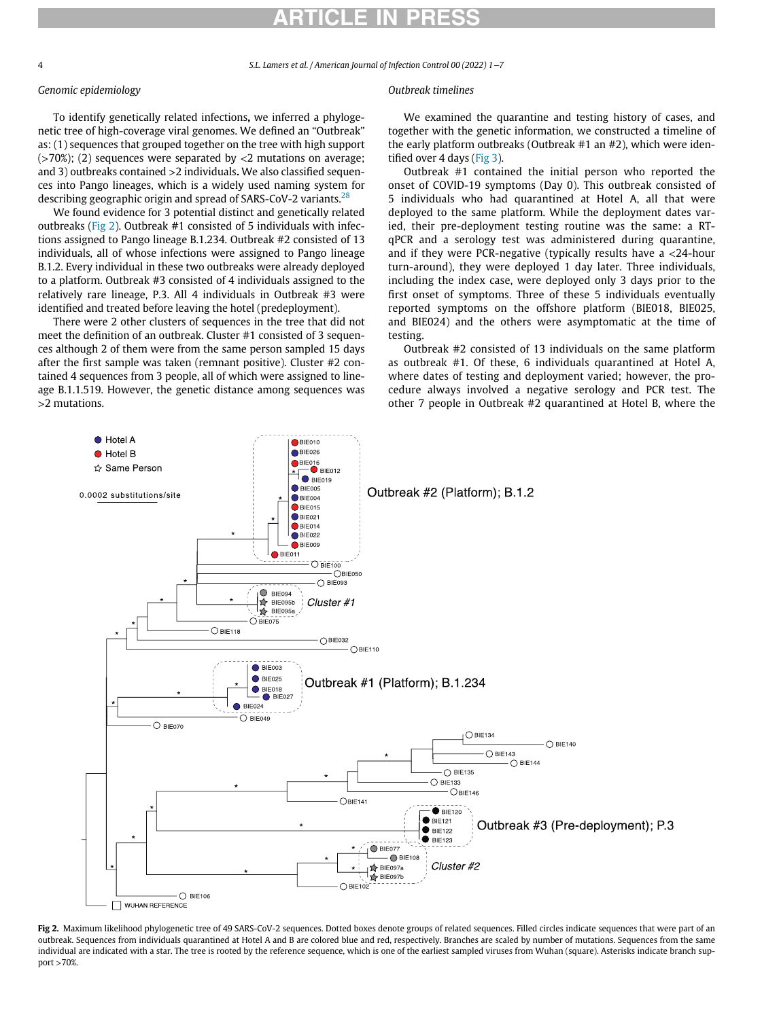# ARTICLE IN PRESS

4 S.L. Lamers et al. / American Journal of Infection Control 00 (2022) 1−7

## Genomic epidemiology

To identify genetically related infections, we inferred a phylogenetic tree of high-coverage viral genomes. We defined an "Outbreak" as: (1) sequences that grouped together on the tree with high support  $($ >70%); (2) sequences were separated by <2 mutations on average; and 3) outbreaks contained >2 individuals. We also classified sequences into Pango lineages, which is a widely used naming system for describing geographic origin and spread of SARS-CoV-2 variants.<sup>[28](#page-6-6)</sup>

We found evidence for 3 potential distinct and genetically related outbreaks ([Fig 2](#page-3-0)). Outbreak #1 consisted of 5 individuals with infections assigned to Pango lineage B.1.234. Outbreak #2 consisted of 13 individuals, all of whose infections were assigned to Pango lineage B.1.2. Every individual in these two outbreaks were already deployed to a platform. Outbreak #3 consisted of 4 individuals assigned to the relatively rare lineage, P.3. All 4 individuals in Outbreak #3 were identified and treated before leaving the hotel (predeployment).

There were 2 other clusters of sequences in the tree that did not meet the definition of an outbreak. Cluster #1 consisted of 3 sequences although 2 of them were from the same person sampled 15 days after the first sample was taken (remnant positive). Cluster #2 contained 4 sequences from 3 people, all of which were assigned to lineage B.1.1.519. However, the genetic distance among sequences was >2 mutations.

## Outbreak timelines

We examined the quarantine and testing history of cases, and together with the genetic information, we constructed a timeline of the early platform outbreaks (Outbreak #1 an #2), which were identified over 4 days [\(Fig 3](#page-4-0)).

Outbreak #1 contained the initial person who reported the onset of COVID-19 symptoms (Day 0). This outbreak consisted of 5 individuals who had quarantined at Hotel A, all that were deployed to the same platform. While the deployment dates varied, their pre-deployment testing routine was the same: a RTqPCR and a serology test was administered during quarantine, and if they were PCR-negative (typically results have a <24-hour turn-around), they were deployed 1 day later. Three individuals, including the index case, were deployed only 3 days prior to the first onset of symptoms. Three of these 5 individuals eventually reported symptoms on the offshore platform (BIE018, BIE025, and BIE024) and the others were asymptomatic at the time of testing.

Outbreak #2 consisted of 13 individuals on the same platform as outbreak #1. Of these, 6 individuals quarantined at Hotel A, where dates of testing and deployment varied; however, the procedure always involved a negative serology and PCR test. The other 7 people in Outbreak #2 quarantined at Hotel B, where the

<span id="page-3-0"></span>

Fig 2. Maximum likelihood phylogenetic tree of 49 SARS-CoV-2 sequences. Dotted boxes denote groups of related sequences. Filled circles indicate sequences that were part of an outbreak. Sequences from individuals quarantined at Hotel A and B are colored blue and red, respectively. Branches are scaled by number of mutations. Sequences from the same individual are indicated with a star. The tree is rooted by the reference sequence, which is one of the earliest sampled viruses from Wuhan (square). Asterisks indicate branch support >70%.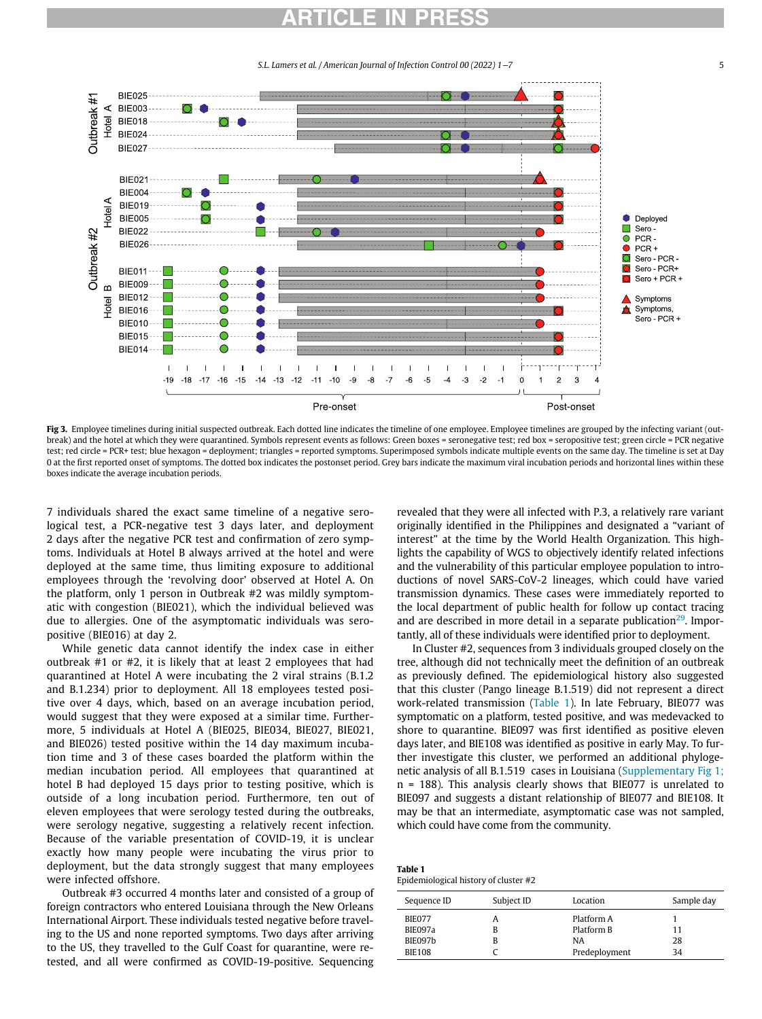S.L. Lamers et al. / American Journal of Infection Control 00 (2022) 1−7 5

<span id="page-4-0"></span>

Fig 3. Employee timelines during initial suspected outbreak. Each dotted line indicates the timeline of one employee. Employee timelines are grouped by the infecting variant (outbreak) and the hotel at which they were quarantined. Symbols represent events as follows: Green boxes = seronegative test; red box = seropositive test; green circle = PCR negative test; red circle = PCR+ test; blue hexagon = deployment; triangles = reported symptoms. Superimposed symbols indicate multiple events on the same day. The timeline is set at Day 0 at the first reported onset of symptoms. The dotted box indicates the postonset period. Grey bars indicate the maximum viral incubation periods and horizontal lines within these boxes indicate the average incubation periods.

7 individuals shared the exact same timeline of a negative serological test, a PCR-negative test 3 days later, and deployment 2 days after the negative PCR test and confirmation of zero symptoms. Individuals at Hotel B always arrived at the hotel and were deployed at the same time, thus limiting exposure to additional employees through the 'revolving door' observed at Hotel A. On the platform, only 1 person in Outbreak #2 was mildly symptomatic with congestion (BIE021), which the individual believed was due to allergies. One of the asymptomatic individuals was seropositive (BIE016) at day 2.

While genetic data cannot identify the index case in either outbreak #1 or #2, it is likely that at least 2 employees that had quarantined at Hotel A were incubating the 2 viral strains (B.1.2 and B.1.234) prior to deployment. All 18 employees tested positive over 4 days, which, based on an average incubation period, would suggest that they were exposed at a similar time. Furthermore, 5 individuals at Hotel A (BIE025, BIE034, BIE027, BIE021, and BIE026) tested positive within the 14 day maximum incubation time and 3 of these cases boarded the platform within the median incubation period. All employees that quarantined at hotel B had deployed 15 days prior to testing positive, which is outside of a long incubation period. Furthermore, ten out of eleven employees that were serology tested during the outbreaks, were serology negative, suggesting a relatively recent infection. Because of the variable presentation of COVID-19, it is unclear exactly how many people were incubating the virus prior to deployment, but the data strongly suggest that many employees were infected offshore.

<span id="page-4-1"></span>Outbreak #3 occurred 4 months later and consisted of a group of foreign contractors who entered Louisiana through the New Orleans International Airport. These individuals tested negative before traveling to the US and none reported symptoms. Two days after arriving to the US, they travelled to the Gulf Coast for quarantine, were retested, and all were confirmed as COVID-19-positive. Sequencing revealed that they were all infected with P.3, a relatively rare variant originally identified in the Philippines and designated a "variant of interest" at the time by the World Health Organization. This highlights the capability of WGS to objectively identify related infections and the vulnerability of this particular employee population to introductions of novel SARS-CoV-2 lineages, which could have varied transmission dynamics. These cases were immediately reported to the local department of public health for follow up contact tracing and are described in more detail in a separate publication<sup>29</sup>. Importantly, all of these individuals were identified prior to deployment.

In Cluster #2, sequences from 3 individuals grouped closely on the tree, although did not technically meet the definition of an outbreak as previously defined. The epidemiological history also suggested that this cluster (Pango lineage B.1.519) did not represent a direct work-related transmission ([Table 1\)](#page-4-1). In late February, BIE077 was symptomatic on a platform, tested positive, and was medevacked to shore to quarantine. BIE097 was first identified as positive eleven days later, and BIE108 was identified as positive in early May. To further investigate this cluster, we performed an additional phylogenetic analysis of all B.1.519 cases in Louisiana ([Supplementary Fig 1;](#page-5-12) n = 188). This analysis clearly shows that BIE077 is unrelated to BIE097 and suggests a distant relationship of BIE077 and BIE108. It may be that an intermediate, asymptomatic case was not sampled, which could have come from the community.

Table 1 Epidemiological history of cluster #2

| Sequence ID   | Subject ID | Location      | Sample day |
|---------------|------------|---------------|------------|
| BIE077        | A          | Platform A    | 11         |
| BIE097a       | В          | Platform B    |            |
| BIE097b       | в          | <b>NA</b>     | 28         |
| <b>BIE108</b> |            | Predeployment | 34         |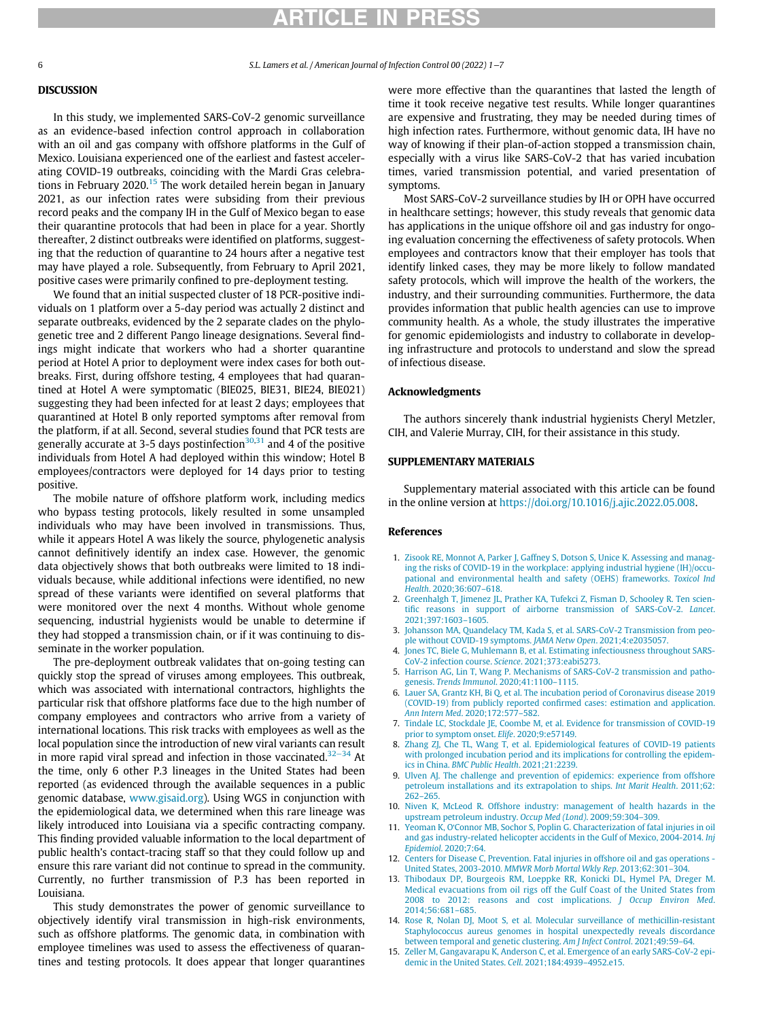# **ARTICLE IN PRES**

6 S.L. Lamers et al. / American Journal of Infection Control 00 (2022) 1−7

## DISCUSSION

In this study, we implemented SARS-CoV-2 genomic surveillance as an evidence-based infection control approach in collaboration with an oil and gas company with offshore platforms in the Gulf of Mexico. Louisiana experienced one of the earliest and fastest accelerating COVID-19 outbreaks, coinciding with the Mardi Gras celebra-tions in February 2020.<sup>[15](#page-5-13)</sup> The work detailed herein began in January 2021, as our infection rates were subsiding from their previous record peaks and the company IH in the Gulf of Mexico began to ease their quarantine protocols that had been in place for a year. Shortly thereafter, 2 distinct outbreaks were identified on platforms, suggesting that the reduction of quarantine to 24 hours after a negative test may have played a role. Subsequently, from February to April 2021, positive cases were primarily confined to pre-deployment testing.

We found that an initial suspected cluster of 18 PCR-positive individuals on 1 platform over a 5-day period was actually 2 distinct and separate outbreaks, evidenced by the 2 separate clades on the phylogenetic tree and 2 different Pango lineage designations. Several findings might indicate that workers who had a shorter quarantine period at Hotel A prior to deployment were index cases for both outbreaks. First, during offshore testing, 4 employees that had quarantined at Hotel A were symptomatic (BIE025, BIE31, BIE24, BIE021) suggesting they had been infected for at least 2 days; employees that quarantined at Hotel B only reported symptoms after removal from the platform, if at all. Second, several studies found that PCR tests are generally accurate at 3-5 days postinfection $30,31$  $30,31$  and 4 of the positive individuals from Hotel A had deployed within this window; Hotel B employees/contractors were deployed for 14 days prior to testing positive.

<span id="page-5-12"></span><span id="page-5-0"></span>The mobile nature of offshore platform work, including medics who bypass testing protocols, likely resulted in some unsampled individuals who may have been involved in transmissions. Thus, while it appears Hotel A was likely the source, phylogenetic analysis cannot definitively identify an index case. However, the genomic data objectively shows that both outbreaks were limited to 18 individuals because, while additional infections were identified, no new spread of these variants were identified on several platforms that were monitored over the next 4 months. Without whole genome sequencing, industrial hygienists would be unable to determine if they had stopped a transmission chain, or if it was continuing to disseminate in the worker population.

<span id="page-5-6"></span><span id="page-5-5"></span><span id="page-5-4"></span><span id="page-5-3"></span><span id="page-5-2"></span><span id="page-5-1"></span>The pre-deployment outbreak validates that on-going testing can quickly stop the spread of viruses among employees. This outbreak, which was associated with international contractors, highlights the particular risk that offshore platforms face due to the high number of company employees and contractors who arrive from a variety of international locations. This risk tracks with employees as well as the local population since the introduction of new viral variants can result in more rapid viral spread and infection in those vaccinated[.32](#page-6-10)−<sup>34</sup> At the time, only 6 other P.3 lineages in the United States had been reported (as evidenced through the available sequences in a public genomic database, [www.gisaid.org](http://www.gisaid.org)). Using WGS in conjunction with the epidemiological data, we determined when this rare lineage was likely introduced into Louisiana via a specific contracting company. This finding provided valuable information to the local department of public health's contact-tracing staff so that they could follow up and ensure this rare variant did not continue to spread in the community. Currently, no further transmission of P.3 has been reported in Louisiana.

<span id="page-5-13"></span><span id="page-5-11"></span><span id="page-5-10"></span><span id="page-5-9"></span><span id="page-5-8"></span><span id="page-5-7"></span>This study demonstrates the power of genomic surveillance to objectively identify viral transmission in high-risk environments, such as offshore platforms. The genomic data, in combination with employee timelines was used to assess the effectiveness of quarantines and testing protocols. It does appear that longer quarantines were more effective than the quarantines that lasted the length of time it took receive negative test results. While longer quarantines are expensive and frustrating, they may be needed during times of high infection rates. Furthermore, without genomic data, IH have no way of knowing if their plan-of-action stopped a transmission chain, especially with a virus like SARS-CoV-2 that has varied incubation times, varied transmission potential, and varied presentation of symptoms.

Most SARS-CoV-2 surveillance studies by IH or OPH have occurred in healthcare settings; however, this study reveals that genomic data has applications in the unique offshore oil and gas industry for ongoing evaluation concerning the effectiveness of safety protocols. When employees and contractors know that their employer has tools that identify linked cases, they may be more likely to follow mandated safety protocols, which will improve the health of the workers, the industry, and their surrounding communities. Furthermore, the data provides information that public health agencies can use to improve community health. As a whole, the study illustrates the imperative for genomic epidemiologists and industry to collaborate in developing infrastructure and protocols to understand and slow the spread of infectious disease.

# Acknowledgments

The authors sincerely thank industrial hygienists Cheryl Metzler, CIH, and Valerie Murray, CIH, for their assistance in this study.

#### SUPPLEMENTARY MATERIALS

Supplementary material associated with this article can be found in the online version at [https://doi.org/10.1016/j.ajic.2022.05.008.](https://doi.org/10.1016/j.ajic.2022.05.008)

#### References

- 1. [Zisook RE, Monnot A, Parker J, Gaffney S, Dotson S, Unice K. Assessing and manag](http://refhub.elsevier.com/S0196-6553(22)00434-5/sbref0001)[ing the risks of COVID-19 in the workplace: applying industrial hygiene \(IH\)/occu](http://refhub.elsevier.com/S0196-6553(22)00434-5/sbref0001)[pational and environmental health and safety \(OEHS\) frameworks.](http://refhub.elsevier.com/S0196-6553(22)00434-5/sbref0001) Toxicol Ind Health[. 2020;36:607](http://refhub.elsevier.com/S0196-6553(22)00434-5/sbref0001)–618.
- 2. [Greenhalgh T, Jimenez JL, Prather KA, Tufekci Z, Fisman D, Schooley R. Ten scien](http://refhub.elsevier.com/S0196-6553(22)00434-5/sbref0002)tifi[c reasons in support of airborne transmission of SARS-CoV-2.](http://refhub.elsevier.com/S0196-6553(22)00434-5/sbref0002) Lancet. [2021;397:1603](http://refhub.elsevier.com/S0196-6553(22)00434-5/sbref0002)–1605.
- 3. [Johansson MA, Quandelacy TM, Kada S, et al. SARS-CoV-2 Transmission from peo](http://refhub.elsevier.com/S0196-6553(22)00434-5/sbref0003)[ple without COVID-19 symptoms.](http://refhub.elsevier.com/S0196-6553(22)00434-5/sbref0003) JAMA Netw Open. 2021;4:e2035057.
- 4. [Jones TC, Biele G, Muhlemann B, et al. Estimating infectiousness throughout SARS-](http://refhub.elsevier.com/S0196-6553(22)00434-5/sbref0004)[CoV-2 infection course.](http://refhub.elsevier.com/S0196-6553(22)00434-5/sbref0004) Science. 2021;373:eabi5273.
- 5. [Harrison AG, Lin T, Wang P. Mechanisms of SARS-CoV-2 transmission and patho](http://refhub.elsevier.com/S0196-6553(22)00434-5/sbref0005)genesis. [Trends Immunol](http://refhub.elsevier.com/S0196-6553(22)00434-5/sbref0005). 2020;41:1100–1115.
- 6. [Lauer SA, Grantz KH, Bi Q, et al. The incubation period of Coronavirus disease 2019](http://refhub.elsevier.com/S0196-6553(22)00434-5/sbref0006) (COVID-19) from publicly reported confi[rmed cases: estimation and application.](http://refhub.elsevier.com/S0196-6553(22)00434-5/sbref0006) Ann Intern Med[. 2020;172:577](http://refhub.elsevier.com/S0196-6553(22)00434-5/sbref0006)–582.
- 7. [Tindale LC, Stockdale JE, Coombe M, et al. Evidence for transmission of COVID-19](http://refhub.elsevier.com/S0196-6553(22)00434-5/sbref0007) [prior to symptom onset.](http://refhub.elsevier.com/S0196-6553(22)00434-5/sbref0007) Elife. 2020;9:e57149.
- 8. [Zhang ZJ, Che TL, Wang T, et al. Epidemiological features of COVID-19 patients](http://refhub.elsevier.com/S0196-6553(22)00434-5/sbref0008) [with prolonged incubation period and its implications for controlling the epidem](http://refhub.elsevier.com/S0196-6553(22)00434-5/sbref0008)ics in China. [BMC Public Health](http://refhub.elsevier.com/S0196-6553(22)00434-5/sbref0008). 2021;21:2239.
- 9. [Ulven AJ. The challenge and prevention of epidemics: experience from offshore](http://refhub.elsevier.com/S0196-6553(22)00434-5/sbref0009) [petroleum installations and its extrapolation to ships.](http://refhub.elsevier.com/S0196-6553(22)00434-5/sbref0009) Int Marit Health. 2011;62: 262–[265.](http://refhub.elsevier.com/S0196-6553(22)00434-5/sbref0009)
- 10. [Niven K, McLeod R. Offshore industry: management of health hazards in the](http://refhub.elsevier.com/S0196-6553(22)00434-5/sbref0010) [upstream petroleum industry.](http://refhub.elsevier.com/S0196-6553(22)00434-5/sbref0010) Occup Med (Lond). 2009;59:304–309.
- 11. Yeoman K, O'[Connor MB, Sochor S, Poplin G. Characterization of fatal injuries in oil](http://refhub.elsevier.com/S0196-6553(22)00434-5/sbref0011) [and gas industry-related helicopter accidents in the Gulf of Mexico, 2004-2014.](http://refhub.elsevier.com/S0196-6553(22)00434-5/sbref0011) Inj Epidemiol[. 2020;7:64.](http://refhub.elsevier.com/S0196-6553(22)00434-5/sbref0011)
- 12. [Centers for Disease C, Prevention. Fatal injuries in offshore oil and gas operations -](http://refhub.elsevier.com/S0196-6553(22)00434-5/sbref0012) United States, 2003-2010. [MMWR Morb Mortal Wkly Rep](http://refhub.elsevier.com/S0196-6553(22)00434-5/sbref0012). 2013;62:301–304.
- 13. [Thibodaux DP, Bourgeois RM, Loeppke RR, Konicki DL, Hymel PA, Dreger M.](http://refhub.elsevier.com/S0196-6553(22)00434-5/sbref0013) [Medical evacuations from oil rigs off the Gulf Coast of the United States from](http://refhub.elsevier.com/S0196-6553(22)00434-5/sbref0013) [2008 to 2012: reasons and cost implications.](http://refhub.elsevier.com/S0196-6553(22)00434-5/sbref0013) J Occup Environ Med. [2014;56:681](http://refhub.elsevier.com/S0196-6553(22)00434-5/sbref0013)–685.
- 14. [Rose R, Nolan DJ, Moot S, et al. Molecular surveillance of methicillin-resistant](http://refhub.elsevier.com/S0196-6553(22)00434-5/sbref0014) [Staphylococcus aureus genomes in hospital unexpectedly reveals discordance](http://refhub.elsevier.com/S0196-6553(22)00434-5/sbref0014) [between temporal and genetic clustering.](http://refhub.elsevier.com/S0196-6553(22)00434-5/sbref0014) Am J Infect Control. 2021;49:59–64.
- 15. [Zeller M, Gangavarapu K, Anderson C, et al. Emergence of an early SARS-CoV-2 epi](http://refhub.elsevier.com/S0196-6553(22)00434-5/sbref0015)[demic in the United States.](http://refhub.elsevier.com/S0196-6553(22)00434-5/sbref0015) Cell. 2021;184:4939–4952.e15.